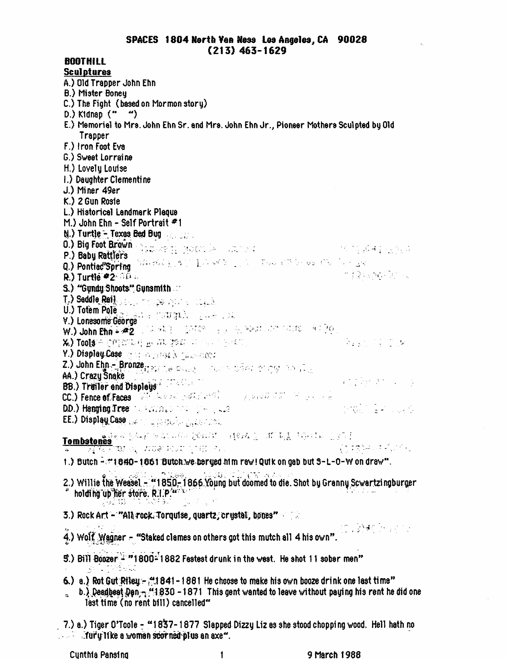**Sculptures** A.) Old Trapper John Ehn B.) Mister Boney C.) The Fight (based on Mormon story)  $D.$ ) Kidnap  $($ " ") E.) Memorial to Mrs. John Ehn Sr. and Mrs. John Ehn Jr., Pioneer Mothers Sculpted by Old Trapper F.) Iron Foot Eva G.) Sweet Lorraine H.) Lovely Louise 1.) Daughter Clementine J.) Miner 49er  $K.$ ) 2 Gun Rosie L.) Historical Landmark Plaque M.) John Ehn - Self Portrait  $*1$  $\mathbb{N}$ .) Turtle - Texas Bed Bug 0.) Big Foot Brown (1940-1941) Modern De Changes (1940-1941) and the Changes of the Richard De Changes of the Richard De Changes of the Richard De Changes of the Richard De Changes of the Richard De Changes of the Richard **P.) Baby Rattlers** and the construction of the construction of the construction of the construction of the construction of the construction of the construction of the construction of the construction of the construction o nighedd Frie  $R$ .) Turtle  $\bullet$  2  $\circ$   $\circ$   $\circ$ S.) "Gundy:Shoots" Gunsmith T.) Saddle Rail Service Monday Alberta County U.) Totem Pole<br>V.) Lonesome George<br>W.) John Ehn + #2 (1994) 1995 (2010) 1999 (2010) 1999 1999 1999 X.) TOOLS FOOD CONTENT BOOK TO TO SHOP OF THE TOWN OF THE REAL PROPERTY Y.) Display Case of the contract Authorization Z.) John Eign – Bronze<sub>rt Business</sub> Graup – International of CM (2004-2005) AA.) Crazy Snake<br>BB.) Trailer and Displays A. Michael M. Company of the Company of the Company of the Company of the Company of the Company of the Company of the Company of the Company of the Company of the Company of the D.D. ). Hanging Tree: The Additional Communication EE.) Display Case were a particular graduate. **Tombstones**<br>
(17)<br>
(17)<br>
(17)<br>
(17)<br>
(17)<br>
(17)<br>
(17)<br>
(17)<br>
(17)<br>
(17)<br>
(17)<br>
(17)<br>
(17)<br>
(17)<br>
(17)<br>
(17)<br>
(17)<br>
(17)<br>
(17)<br>
(17)<br>
(17) (1) 经营销的 经收入 1.) Butch - #1840-1861 Butch we beryed him raw! Quik on gab but S-L-0-W on draw". r bree - thousail avail 2.) Willie the Weasel - "1850-1866 Young but doomed to die. Shot by Granny Sowartzingburger holding up her store. R.I.P." المتحدث والمتحدث 3.) Rock Art - "All rock. Torquise, quartz, crystal, bones" and a  $1.299$  and  $1.5\%$ 4.) Wolf Wagner - "Staked clames on others got this mutch all 4 his own". 5.) Bill Boozer<sup>2</sup> "1800<sup>2</sup>1882 Festest drunk in the west. He shot 11 sober men" 그는 아래요. 6.) a.) Rot Gut Riley - #1 841 - 1 861 He choose to make his own booze drink one last time" b.) Deadbest Dan<sub>m</sub> (1830 - 1871 This gent wanted to leave without paying his rent he did one  $\ddot{\bullet}$ last time (no rent bill) cancelled" . 7.) a.) Tiger O'Toole - "1837-1877 Slapped Dizzy Liz as she stood chopping wood. Hell hath no  $\ldots$  if urightlike a woman scorined plus an axe".

**BOOTHILL** 

1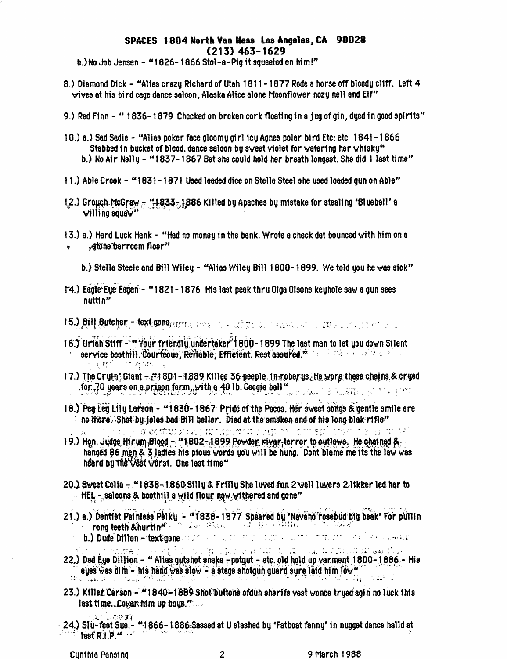## SPACES 1804 North Yan Ness Los Angeles, CA 90028  $(213)$  463-1629

b.) No Job Jensen - "1626-1666 Stol-a-Pig it squeeled on him!"

- 8.) Diamond Dick "Alias crazy Richard of Utah 1811-1877 Rode a horse off bloody cliff. Left 4 wives at his bird cage dance salcon, Alaska Alice alone Moonflower nozy nell and Elf"
- 9.) Red Finn " 1836-1879 Chocked on broken cork floating in a jug of gin, dyed in good spirits"
- 10.) a.) Sad Sadie "Alias poker face gloomy girl icy Agnes polar bird Etc: etc 1841–1866 Stabbed in bucket of blood, dance saloon by sweet violet for watering her whisky" b.) No Air Nelly - "1837-1867 Bet she could hold her breath longest. She did 1 last time"
- 11.) Able Crook "1831-1871 Used loaded dice on Stella Steel she used loaded gun on Able"
- 1.2.) Grouch McGrow "1833-1886 Killed by Apaches by mistake for stealing 'Bluebell' a<br>willing squaw"
- 13.) a.) Hard Luck Hank "Had no money in the bank. Wrote a check dat bounced with him on a "atone barroom floor"
	- b.) Stella Steele and Bill Wiley "Alias Wiley Bill 1800-1899. We told you he was sick"
- 1'4.) Eagle Eye Eagan "1821-1876 His last peak thru Olga Olsons keyhole saw a gun sees nuttin"
- 15.) Bill Butcher text pone annual research a collection of the second company of the control of the co
- 16.) Urish Stiff "Your friendly undertaker 1800-1899 The last man to let you down Silent service boothill. Courteous, Reflable, Efficient. Rest assured." r guille ann.
- 17.) The Cryth" Glant It 1801-1889 Killed 36 peeple, in roberys, He wore these chains.& cryed for 70 years on a prison farm, with a 40 lb. Geogia ball"
- 18.) Peg Leg Lily Larson "1830-1867 Pride of the Pacos. Her sweet songs & gentle smile are no more. Shot by felos bad Bill beller. Died at the smoken end of his long blak rifle"

a codutier of the fameratic cut except for the composition of the

- 19.) Hon. Judge Hirum Blood "1802-1899 Powder river terror to outlews. He chained & hanged 86 men & 3 ladies his pious words you will be hung. Dont blame me its the law was heard by the Vest worst. One last time"
- 20.) Sweet Celia "1836-1860 Silly & Frilly She luved fun 2 well luyers 2 likker led har to HEL - salcons & boothill a wild flour now withered and gone"
- 21.) a.) Dentist Painless Pelky "1838-1877 Speared by 'Navaho'rosebud big beak' For pullin **Forms teeth &hurting** and the State and the presence the construction
	- 2. b.) Dude Diffion textagone (1990) A 10 U. (C. att. 1990) and the control of the Case of Case and
- $\mathbb{R}^{\frac{1}{2}}$  . The section  $\mathbb{R}^{\frac{1}{2}}$  is a sequence of a set of  $\mathbb{R}^{\frac{1}{2}}$  , we see the specifical solution 22.) Ded Eye Dillion - "Alias gutshot snake -potgut - etc. old hold up varment 1800-1886 - His eyes was dim - his hand was slow - a stage shotgun guard sure laid him low" ATAN MATAMATAN SERIKA B die Groot van die Grootse
- 23.) Killer Carson "1840-1889 Shot buttons ofduh sherifs yest wonce trued soin no luck this last time...Covar.him up bous."
- ្រកខ្លួន - 24.) STu-foot Sue.- "1866-1886 Sassed at U slashed by 'Fatboat fanny' in nugget dance halld at **First Riverse Rivers**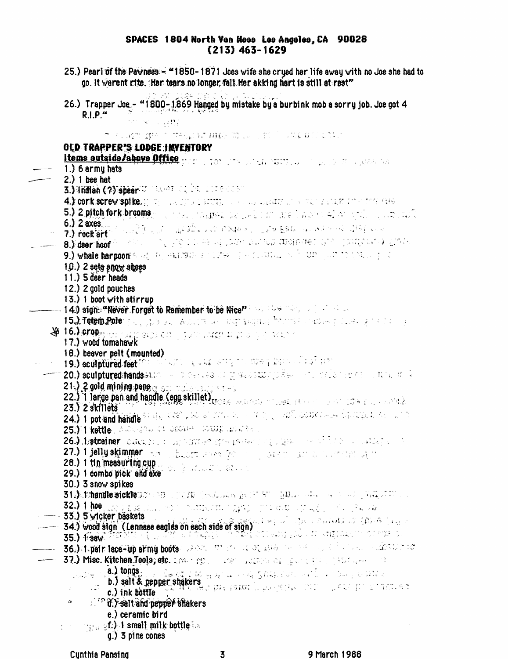## SPACES 1804 North Ven Noss Les Angeles, CA 90028  $(213)$  463-1629

25.) Pearl of the Paynees - "1850-1871 Joes wife she crued her life away with no Joe she had to go. It warent rite, "Her tears no longer fall Her akking hart is still at rest" AT CAPA TID 26.) Trapper Joe - "1800-1869 Hanged by mistake by a burbink mob a sorry job. Joe got 4  $R.I.P.$ 12 No. 21 o suage given magnet dies modelloop followed all unit OLD TRAPPER'S LODGE INVENTORY **Items outside/above Office** the proportional and the proportion of the proportion  $1.$ ) 6 army hats  $2.)$  1 bee hat 3.) Undian (?) spear Williams of Danger and St 4.) conk screw spike, proportionally stated as some departments was related that the case 5.) 2 pitch fork brooms with the presidence we have the linguistical or spilling without  $6.$ )  $2$  axes e de 1950 de 1960 de 1960 de la 1960 de 1960 de 1960 de la 1960 de la 1960 de la 1960 de 1960 de la 1960 de la 7.) rock art 8.) deer hoof het stad as the same was a second decaded and postposition and a 9.) whale harpton's adjustments and the speciality and streament the state pro- $1.0.$ ) 2 sets snow shoes  $11.$ ) 5 deer heads 12.) 2 gold pouches 13.) 1 boot with stirrup - 14.9 sign: "Never Forget to Remember to be Nice" and the company of the company 15. Julie 1900 for the second service of the service of the service of the service of the service of the service of the service of the service of the service of the service of the service of the service of the service of t **W** 16. Manufacturing the condition with release to action 17.) wood tomahawk 16.) beaver pelt (mounted) 11 19.) sculptured feet in this wide your strip the mean bone. Character **20.) sculptured:hands** state of the case of three state polisy of the field feed of the case of s 21.) 2 gold mining panger son material and star 22.) I large pan and handle (egg skillet)<br>23.) 2 skillets  $23.$ )  $2$  skillets 24.) 1 pot and handle<sup>51</sup> etc. 00% pod all conversions and produce energy depends on part of 25.) I kettle, Astroganski provinci DUUS IPLATER 26.) hatmainer careers and harves more masses of standard them a state of 27.) 1 jelly skimmer are a buorradese for a conservation and communication 28.) 1 tin measuring cup<br>29.) 1 combo pick and exe 30.) 3 snow spikes 31.) Shohandle sickle US (2000) (1990) (1990) and the RM (2000) and (2000) (2000) (2000) (2000) 32.) 1 hospitalizations and the subject to apply probability with pressure  $\sim$  33.) 5 wicker baskets **35.) Head sign (Lennaee eagles on each side of sign)** A shall shall construct the sign of the state of **34.)** Wood sign (Lennaee eagles on each side of sign) —— 36.) Typatr tace-up army boots: WAR, ITM and ac or zural the service is a constant analysis of 37.) Misc. Kitchen Tools; etc. 1994 1991 - 1997 - 1997 900 100 100 100 100 100 100 100 100 ш.  $\mathcal{L}_{\mathcal{X}}^{\mathcal{A}}$ a.) tongs รายนี้ซ่ายน้ำมันได้ ครูให้กำแบกการนำ นึงมีผู้รู้การสารากหากน้ำ หากได้แก่การเห็นได้ لأناس والأردار b.) salt & pepper shakers and the contract of the contract of the state of the second second second second second second second second second second second second second second second second second second second second sec c.) ink bottle  $\alpha$  $\mathbb{R}^3$  of  $\mathcal Y$  salt and pepper shakers e.) ceramic bird  $\mathbf{p} = \{p_{i,j}\}_{j=1}^{N}$  amall milk bottle  $\mathbb{R}^N$  $q$ .) 3 pine cones

3